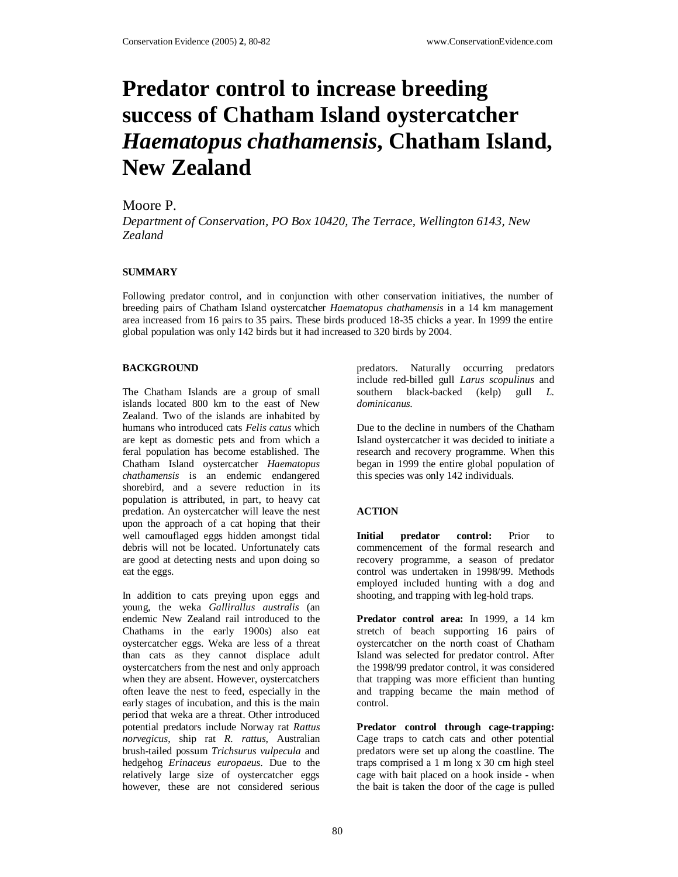# **Predator control to increase breeding success of Chatham Island oystercatcher**  *Haematopus chathamensis***, Chatham Island, New Zealand**

## Moore P.

*Department of Conservation, PO Box 10420, The Terrace, Wellington 6143, New Zealand*

#### **SUMMARY**

Following predator control, and in conjunction with other conservation initiatives, the number of breeding pairs of Chatham Island oystercatcher *Haematopus chathamensis* in a 14 km management area increased from 16 pairs to 35 pairs. These birds produced 18-35 chicks a year. In 1999 the entire global population was only 142 birds but it had increased to 320 birds by 2004.

#### **BACKGROUND**

The Chatham Islands are a group of small islands located 800 km to the east of New Zealand. Two of the islands are inhabited by humans who introduced cats *Felis catus* which are kept as domestic pets and from which a feral population has become established. The Chatham Island oystercatcher *Haematopus chathamensis* is an endemic endangered shorebird, and a severe reduction in its population is attributed, in part, to heavy cat predation. An oystercatcher will leave the nest upon the approach of a cat hoping that their well camouflaged eggs hidden amongst tidal debris will not be located. Unfortunately cats are good at detecting nests and upon doing so eat the eggs.

In addition to cats preying upon eggs and young, the weka *Gallirallus australis* (an endemic New Zealand rail introduced to the Chathams in the early 1900s) also eat oystercatcher eggs. Weka are less of a threat than cats as they cannot displace adult oystercatchers from the nest and only approach when they are absent. However, oystercatchers often leave the nest to feed, especially in the early stages of incubation, and this is the main period that weka are a threat. Other introduced potential predators include Norway rat *Rattus norvegicus*, ship rat *R. rattus*, Australian brush-tailed possum *Trichsurus vulpecula* and hedgehog *Erinaceus europaeus*. Due to the relatively large size of oystercatcher eggs however, these are not considered serious predators. Naturally occurring predators include red-billed gull *Larus scopulinus* and southern black-backed (kelp) gull *L. dominicanus*.

Due to the decline in numbers of the Chatham Island oystercatcher it was decided to initiate a research and recovery programme. When this began in 1999 the entire global population of this species was only 142 individuals.

### **ACTION**

Initial predator control: Prior to commencement of the formal research and recovery programme, a season of predator control was undertaken in 1998/99. Methods employed included hunting with a dog and shooting, and trapping with leg-hold traps.

**Predator control area:** In 1999, a 14 km stretch of beach supporting 16 pairs of oystercatcher on the north coast of Chatham Island was selected for predator control. After the 1998/99 predator control, it was considered that trapping was more efficient than hunting and trapping became the main method of control.

**Predator control through cage-trapping:** Cage traps to catch cats and other potential predators were set up along the coastline. The traps comprised a 1 m long x 30 cm high steel cage with bait placed on a hook inside - when the bait is taken the door of the cage is pulled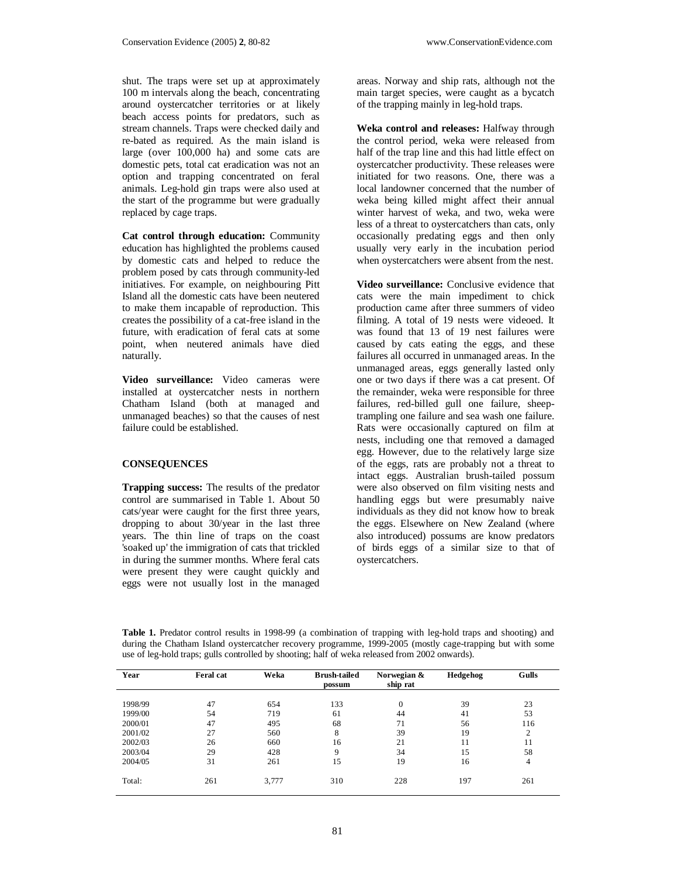shut. The traps were set up at approximately 100 m intervals along the beach, concentrating around oystercatcher territories or at likely beach access points for predators, such as stream channels. Traps were checked daily and re-bated as required. As the main island is large (over 100,000 ha) and some cats are domestic pets, total cat eradication was not an option and trapping concentrated on feral animals. Leg-hold gin traps were also used at the start of the programme but were gradually replaced by cage traps.

**Cat control through education:** Community education has highlighted the problems caused by domestic cats and helped to reduce the problem posed by cats through community-led initiatives. For example, on neighbouring Pitt Island all the domestic cats have been neutered to make them incapable of reproduction. This creates the possibility of a cat-free island in the future, with eradication of feral cats at some point, when neutered animals have died naturally.

**Video surveillance:** Video cameras were installed at oystercatcher nests in northern Chatham Island (both at managed and unmanaged beaches) so that the causes of nest failure could be established.

#### **CONSEQUENCES**

**Trapping success:** The results of the predator control are summarised in Table 1. About 50 cats/year were caught for the first three years, dropping to about 30/year in the last three years. The thin line of traps on the coast 'soaked up' the immigration of cats that trickled in during the summer months. Where feral cats were present they were caught quickly and eggs were not usually lost in the managed

areas. Norway and ship rats, although not the main target species, were caught as a bycatch of the trapping mainly in leg-hold traps.

**Weka control and releases:** Halfway through the control period, weka were released from half of the trap line and this had little effect on oystercatcher productivity. These releases were initiated for two reasons. One, there was a local landowner concerned that the number of weka being killed might affect their annual winter harvest of weka, and two, weka were less of a threat to oystercatchers than cats, only occasionally predating eggs and then only usually very early in the incubation period when oystercatchers were absent from the nest.

**Video surveillance:** Conclusive evidence that cats were the main impediment to chick production came after three summers of video filming. A total of 19 nests were videoed. It was found that 13 of 19 nest failures were caused by cats eating the eggs, and these failures all occurred in unmanaged areas. In the unmanaged areas, eggs generally lasted only one or two days if there was a cat present. Of the remainder, weka were responsible for three failures, red-billed gull one failure, sheeptrampling one failure and sea wash one failure. Rats were occasionally captured on film at nests, including one that removed a damaged egg. However, due to the relatively large size of the eggs, rats are probably not a threat to intact eggs. Australian brush-tailed possum were also observed on film visiting nests and handling eggs but were presumably naive individuals as they did not know how to break the eggs. Elsewhere on New Zealand (where also introduced) possums are know predators of birds eggs of a similar size to that of oystercatchers.

**Table 1.** Predator control results in 1998-99 (a combination of trapping with leg-hold traps and shooting) and during the Chatham Island oystercatcher recovery programme, 1999-2005 (mostly cage-trapping but with some use of leg-hold traps; gulls controlled by shooting; half of weka released from 2002 onwards).

| Year    | Feral cat | Weka  | <b>Brush-tailed</b><br>possum | Norwegian &<br>ship rat | Hedgehog | Gulls          |
|---------|-----------|-------|-------------------------------|-------------------------|----------|----------------|
|         |           |       |                               |                         |          |                |
| 1998/99 | 47        | 654   | 133                           | $\mathbf{0}$            | 39       | 23             |
| 1999/00 | 54        | 719   | 61                            | 44                      | 41       | 53             |
| 2000/01 | 47        | 495   | 68                            | 71                      | 56       | 116            |
| 2001/02 | 27        | 560   | 8                             | 39                      | 19       | $\overline{c}$ |
| 2002/03 | 26        | 660   | 16                            | 21                      | 11       | 11             |
| 2003/04 | 29        | 428   | 9                             | 34                      | 15       | 58             |
| 2004/05 | 31        | 261   | 15                            | 19                      | 16       | 4              |
| Total:  | 261       | 3,777 | 310                           | 228                     | 197      | 261            |